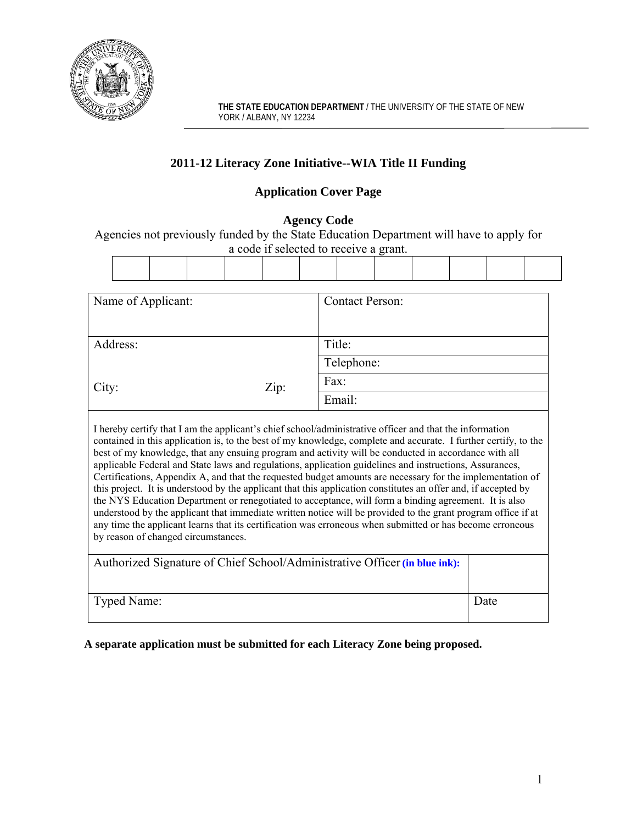

# **2011-12 Literacy Zone Initiative--WIA Title II Funding**

# **Application Cover Page**

**Agency Code**  Agencies not previously funded by the State Education Department will have to apply for a code if selected to receive a grant.

| Name of Applicant: |                                                                                                                                                                                                                                                                                                                                                                                                                                                                                                                                                                                                                                                                                                                                                                                                                                                                                                                                                                                                                                                                                                                                         |  |  | <b>Contact Person:</b> |      |  |            |  |  |      |  |  |
|--------------------|-----------------------------------------------------------------------------------------------------------------------------------------------------------------------------------------------------------------------------------------------------------------------------------------------------------------------------------------------------------------------------------------------------------------------------------------------------------------------------------------------------------------------------------------------------------------------------------------------------------------------------------------------------------------------------------------------------------------------------------------------------------------------------------------------------------------------------------------------------------------------------------------------------------------------------------------------------------------------------------------------------------------------------------------------------------------------------------------------------------------------------------------|--|--|------------------------|------|--|------------|--|--|------|--|--|
| Address:           |                                                                                                                                                                                                                                                                                                                                                                                                                                                                                                                                                                                                                                                                                                                                                                                                                                                                                                                                                                                                                                                                                                                                         |  |  | Title:                 |      |  |            |  |  |      |  |  |
|                    |                                                                                                                                                                                                                                                                                                                                                                                                                                                                                                                                                                                                                                                                                                                                                                                                                                                                                                                                                                                                                                                                                                                                         |  |  |                        |      |  | Telephone: |  |  |      |  |  |
| City:              |                                                                                                                                                                                                                                                                                                                                                                                                                                                                                                                                                                                                                                                                                                                                                                                                                                                                                                                                                                                                                                                                                                                                         |  |  |                        | Zip: |  | Fax:       |  |  |      |  |  |
|                    |                                                                                                                                                                                                                                                                                                                                                                                                                                                                                                                                                                                                                                                                                                                                                                                                                                                                                                                                                                                                                                                                                                                                         |  |  | Email:                 |      |  |            |  |  |      |  |  |
|                    | I hereby certify that I am the applicant's chief school/administrative officer and that the information<br>contained in this application is, to the best of my knowledge, complete and accurate. I further certify, to the<br>best of my knowledge, that any ensuing program and activity will be conducted in accordance with all<br>applicable Federal and State laws and regulations, application guidelines and instructions, Assurances,<br>Certifications, Appendix A, and that the requested budget amounts are necessary for the implementation of<br>this project. It is understood by the applicant that this application constitutes an offer and, if accepted by<br>the NYS Education Department or renegotiated to acceptance, will form a binding agreement. It is also<br>understood by the applicant that immediate written notice will be provided to the grant program office if at<br>any time the applicant learns that its certification was erroneous when submitted or has become erroneous<br>by reason of changed circumstances.<br>Authorized Signature of Chief School/Administrative Officer (in blue ink): |  |  |                        |      |  |            |  |  |      |  |  |
|                    |                                                                                                                                                                                                                                                                                                                                                                                                                                                                                                                                                                                                                                                                                                                                                                                                                                                                                                                                                                                                                                                                                                                                         |  |  |                        |      |  |            |  |  |      |  |  |
|                    | Typed Name:                                                                                                                                                                                                                                                                                                                                                                                                                                                                                                                                                                                                                                                                                                                                                                                                                                                                                                                                                                                                                                                                                                                             |  |  |                        |      |  |            |  |  | Date |  |  |

**A separate application must be submitted for each Literacy Zone being proposed.**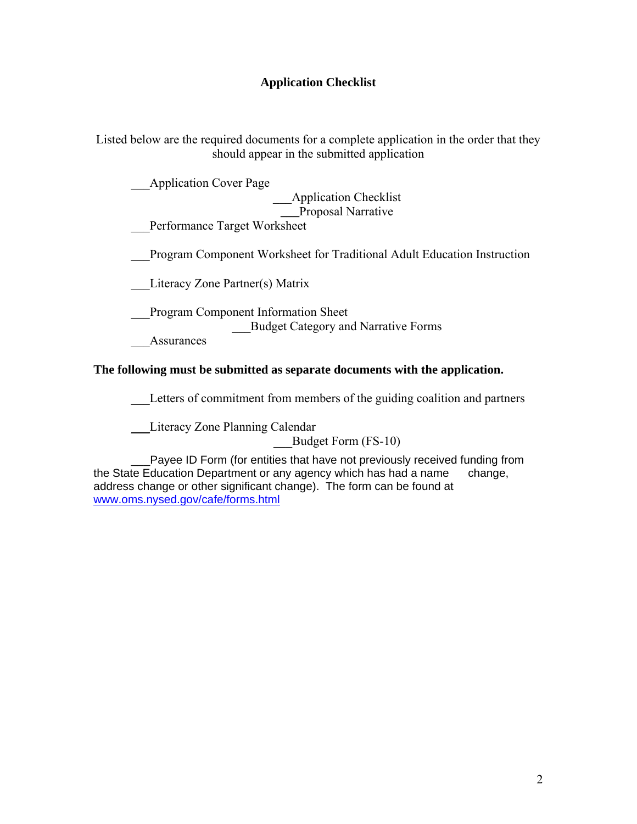## **Application Checklist**

Listed below are the required documents for a complete application in the order that they should appear in the submitted application

\_\_\_Application Cover Page

\_\_Application Checklist **\_\_\_**Proposal Narrative

\_\_\_Performance Target Worksheet

\_\_\_Program Component Worksheet for Traditional Adult Education Instruction

Literacy Zone Partner(s) Matrix

\_\_\_Program Component Information Sheet \_\_\_Budget Category and Narrative Forms

Assurances

## **The following must be submitted as separate documents with the application.**

Letters of commitment from members of the guiding coalition and partners

Literacy Zone Planning Calendar

\_\_\_Budget Form (FS-10)

Payee ID Form (for entities that have not previously received funding from the State Education Department or any agency which has had a name change, address change or other significant change). The form can be found at [www.oms.nysed.gov/cafe/forms.html](http://www.oms.nysed.gov/cafe/forms.html)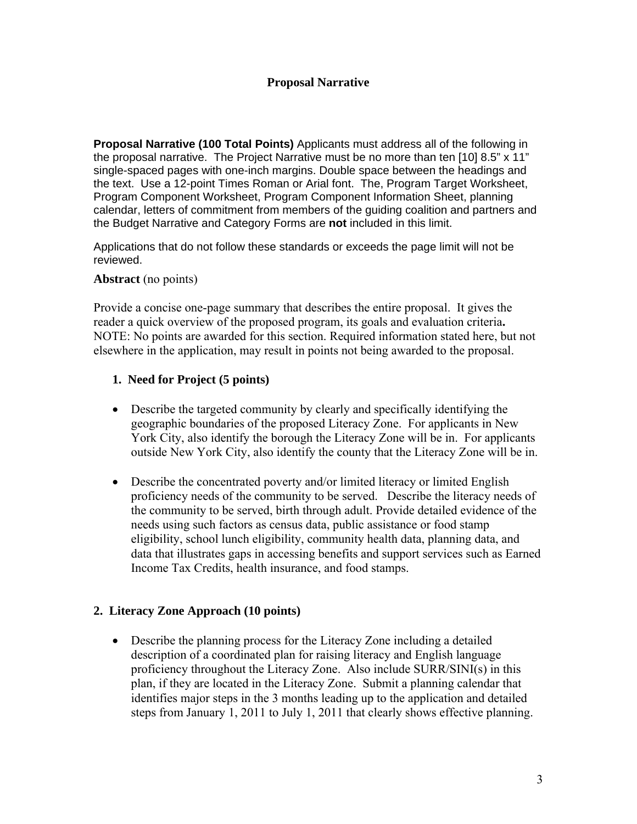## **Proposal Narrative**

**Proposal Narrative (100 Total Points)** Applicants must address all of the following in the proposal narrative. The Project Narrative must be no more than ten [10] 8.5" x 11" single-spaced pages with one-inch margins. Double space between the headings and the text. Use a 12-point Times Roman or Arial font. The, Program Target Worksheet, Program Component Worksheet, Program Component Information Sheet, planning calendar, letters of commitment from members of the guiding coalition and partners and the Budget Narrative and Category Forms are **not** included in this limit.

Applications that do not follow these standards or exceeds the page limit will not be reviewed.

## **Abstract** (no points)

Provide a concise one-page summary that describes the entire proposal. It gives the reader a quick overview of the proposed program, its goals and evaluation criteria**.**  NOTE: No points are awarded for this section. Required information stated here, but not elsewhere in the application, may result in points not being awarded to the proposal.

## **1. Need for Project (5 points)**

- Describe the targeted community by clearly and specifically identifying the geographic boundaries of the proposed Literacy Zone. For applicants in New York City, also identify the borough the Literacy Zone will be in. For applicants outside New York City, also identify the county that the Literacy Zone will be in.
- Describe the concentrated poverty and/or limited literacy or limited English proficiency needs of the community to be served. Describe the literacy needs of the community to be served, birth through adult. Provide detailed evidence of the needs using such factors as census data, public assistance or food stamp eligibility, school lunch eligibility, community health data, planning data, and data that illustrates gaps in accessing benefits and support services such as Earned Income Tax Credits, health insurance, and food stamps.

## **2. Literacy Zone Approach (10 points)**

 Describe the planning process for the Literacy Zone including a detailed description of a coordinated plan for raising literacy and English language proficiency throughout the Literacy Zone. Also include SURR/SINI(s) in this plan, if they are located in the Literacy Zone. Submit a planning calendar that identifies major steps in the 3 months leading up to the application and detailed steps from January 1, 2011 to July 1, 2011 that clearly shows effective planning.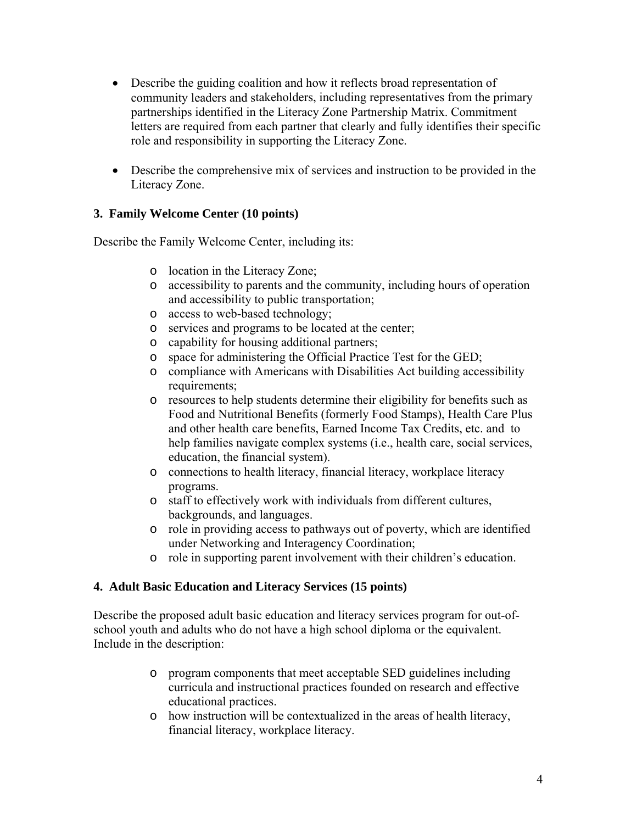- Describe the guiding coalition and how it reflects broad representation of community leaders and stakeholders, including representatives from the primary partnerships identified in the Literacy Zone Partnership Matrix. Commitment letters are required from each partner that clearly and fully identifies their specific role and responsibility in supporting the Literacy Zone.
- Describe the comprehensive mix of services and instruction to be provided in the Literacy Zone.

## **3. Family Welcome Center (10 points)**

Describe the Family Welcome Center, including its:

- o location in the Literacy Zone;
- o accessibility to parents and the community, including hours of operation and accessibility to public transportation;
- o access to web-based technology;
- o services and programs to be located at the center;
- o capability for housing additional partners;
- o space for administering the Official Practice Test for the GED;
- o compliance with Americans with Disabilities Act building accessibility requirements;
- o resources to help students determine their eligibility for benefits such as Food and Nutritional Benefits (formerly Food Stamps), Health Care Plus and other health care benefits, Earned Income Tax Credits, etc. and to help families navigate complex systems (i.e., health care, social services, education, the financial system).
- o connections to health literacy, financial literacy, workplace literacy programs.
- o staff to effectively work with individuals from different cultures, backgrounds, and languages.
- o role in providing access to pathways out of poverty, which are identified under Networking and Interagency Coordination;
- o role in supporting parent involvement with their children's education.

## **4. Adult Basic Education and Literacy Services (15 points)**

Describe the proposed adult basic education and literacy services program for out-ofschool youth and adults who do not have a high school diploma or the equivalent. Include in the description:

- o program components that meet acceptable SED guidelines including curricula and instructional practices founded on research and effective educational practices.
- o how instruction will be contextualized in the areas of health literacy, financial literacy, workplace literacy.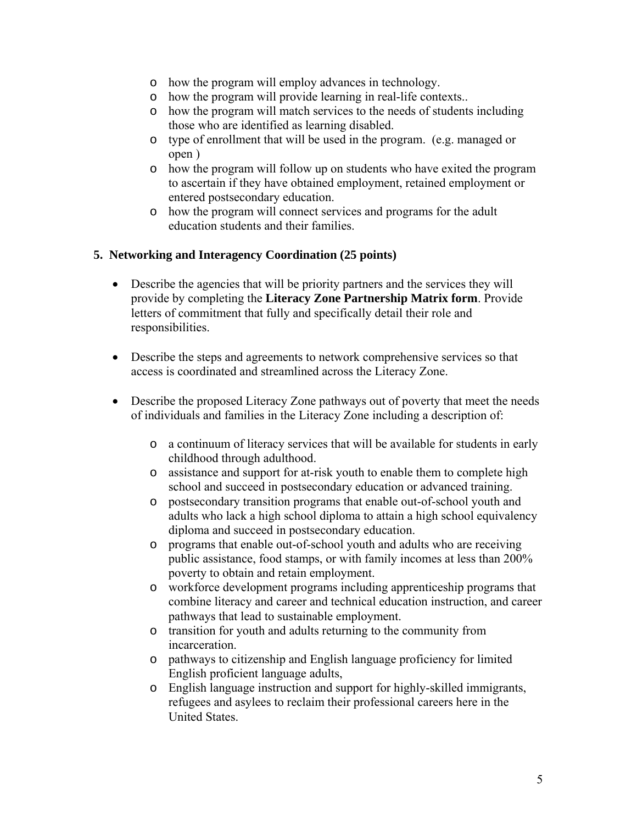- o how the program will employ advances in technology.
- o how the program will provide learning in real-life contexts..
- o how the program will match services to the needs of students including those who are identified as learning disabled.
- o type of enrollment that will be used in the program. (e.g. managed or open )
- o how the program will follow up on students who have exited the program to ascertain if they have obtained employment, retained employment or entered postsecondary education.
- o how the program will connect services and programs for the adult education students and their families.

## **5. Networking and Interagency Coordination (25 points)**

- Describe the agencies that will be priority partners and the services they will provide by completing the **Literacy Zone Partnership Matrix form**. Provide letters of commitment that fully and specifically detail their role and responsibilities.
- Describe the steps and agreements to network comprehensive services so that access is coordinated and streamlined across the Literacy Zone.
- Describe the proposed Literacy Zone pathways out of poverty that meet the needs of individuals and families in the Literacy Zone including a description of:
	- o a continuum of literacy services that will be available for students in early childhood through adulthood.
	- o assistance and support for at-risk youth to enable them to complete high school and succeed in postsecondary education or advanced training.
	- o postsecondary transition programs that enable out-of-school youth and adults who lack a high school diploma to attain a high school equivalency diploma and succeed in postsecondary education.
	- o programs that enable out-of-school youth and adults who are receiving public assistance, food stamps, or with family incomes at less than 200% poverty to obtain and retain employment.
	- o workforce development programs including apprenticeship programs that combine literacy and career and technical education instruction, and career pathways that lead to sustainable employment.
	- o transition for youth and adults returning to the community from incarceration.
	- o pathways to citizenship and English language proficiency for limited English proficient language adults,
	- o English language instruction and support for highly-skilled immigrants, refugees and asylees to reclaim their professional careers here in the United States.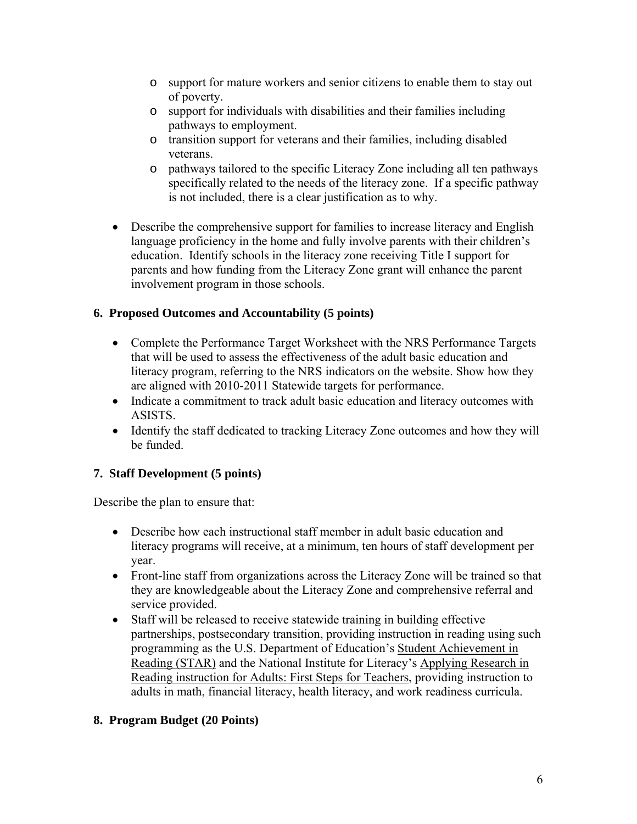- o support for mature workers and senior citizens to enable them to stay out of poverty.
- o support for individuals with disabilities and their families including pathways to employment.
- o transition support for veterans and their families, including disabled veterans.
- o pathways tailored to the specific Literacy Zone including all ten pathways specifically related to the needs of the literacy zone. If a specific pathway is not included, there is a clear justification as to why.
- Describe the comprehensive support for families to increase literacy and English language proficiency in the home and fully involve parents with their children's education. Identify schools in the literacy zone receiving Title I support for parents and how funding from the Literacy Zone grant will enhance the parent involvement program in those schools.

## **6. Proposed Outcomes and Accountability (5 points)**

- Complete the Performance Target Worksheet with the NRS Performance Targets that will be used to assess the effectiveness of the adult basic education and literacy program, referring to the NRS indicators on the website. Show how they are aligned with 2010-2011 Statewide targets for performance.
- Indicate a commitment to track adult basic education and literacy outcomes with ASISTS.
- Identify the staff dedicated to tracking Literacy Zone outcomes and how they will be funded.

# **7. Staff Development (5 points)**

Describe the plan to ensure that:

- Describe how each instructional staff member in adult basic education and literacy programs will receive, at a minimum, ten hours of staff development per year.
- Front-line staff from organizations across the Literacy Zone will be trained so that they are knowledgeable about the Literacy Zone and comprehensive referral and service provided.
- Staff will be released to receive statewide training in building effective partnerships, postsecondary transition, providing instruction in reading using such programming as the U.S. Department of Education's Student Achievement in Reading (STAR) and the National Institute for Literacy's Applying Research in Reading instruction for Adults: First Steps for Teachers, providing instruction to adults in math, financial literacy, health literacy, and work readiness curricula.

# **8. Program Budget (20 Points)**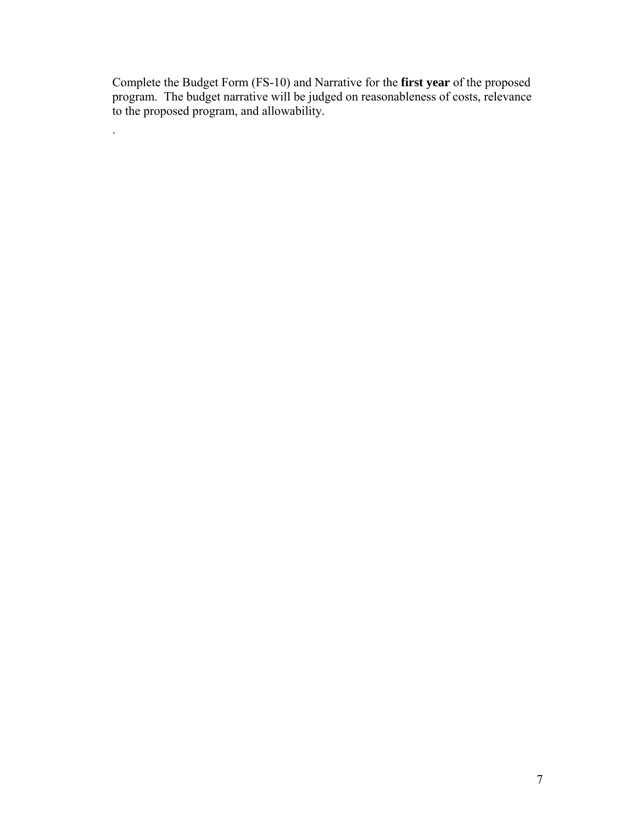Complete the Budget Form (FS-10) and Narrative for the **first year** of the proposed program. The budget narrative will be judged on reasonableness of costs, relevance to the proposed program, and allowability.

.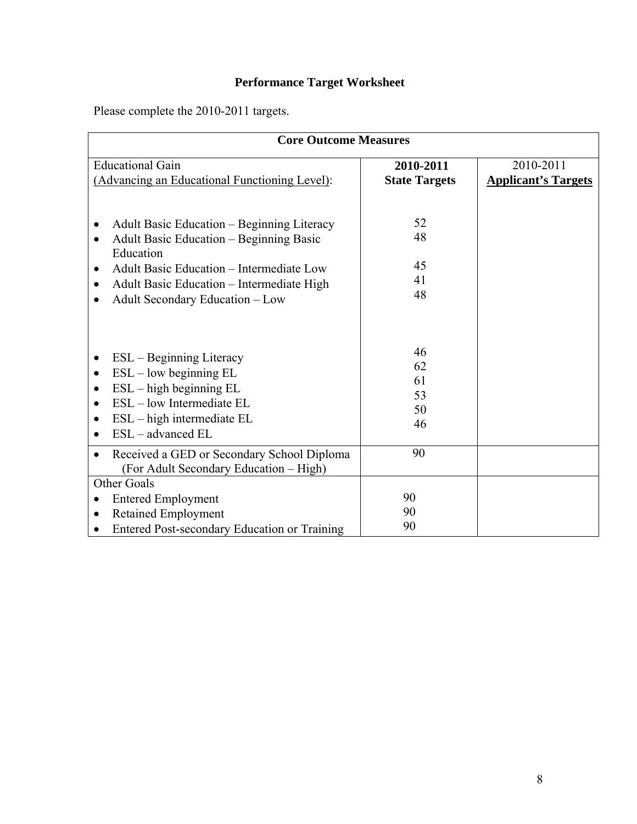# **Performance Target Worksheet**

Please complete the 2010-2011 targets.

| <b>Core Outcome Measures</b>                                                                                                                                                                                                                                                        |                                   |                                         |  |  |
|-------------------------------------------------------------------------------------------------------------------------------------------------------------------------------------------------------------------------------------------------------------------------------------|-----------------------------------|-----------------------------------------|--|--|
| <b>Educational Gain</b><br>(Advancing an Educational Functioning Level):                                                                                                                                                                                                            | 2010-2011<br><b>State Targets</b> | 2010-2011<br><b>Applicant's Targets</b> |  |  |
| Adult Basic Education – Beginning Literacy<br><b>Adult Basic Education – Beginning Basic</b><br>$\bullet$<br>Education<br><b>Adult Basic Education – Intermediate Low</b><br>$\bullet$<br>Adult Basic Education – Intermediate High<br>$\bullet$<br>Adult Secondary Education - Low | 52<br>48<br>45<br>41<br>48        |                                         |  |  |
| ESL – Beginning Literacy<br>$\bullet$<br>$ESL - low beginning EL$<br>$\bullet$<br>$ESL - high beginning EL$<br>$\bullet$<br>ESL - low Intermediate EL<br>$\bullet$<br>ESL – high intermediate EL<br>ESL - advanced EL                                                               | 46<br>62<br>61<br>53<br>50<br>46  |                                         |  |  |
| Received a GED or Secondary School Diploma<br>$\bullet$<br>(For Adult Secondary Education – High)                                                                                                                                                                                   | 90                                |                                         |  |  |
| Other Goals<br><b>Entered Employment</b><br><b>Retained Employment</b><br>$\bullet$<br>Entered Post-secondary Education or Training                                                                                                                                                 | 90<br>90<br>90                    |                                         |  |  |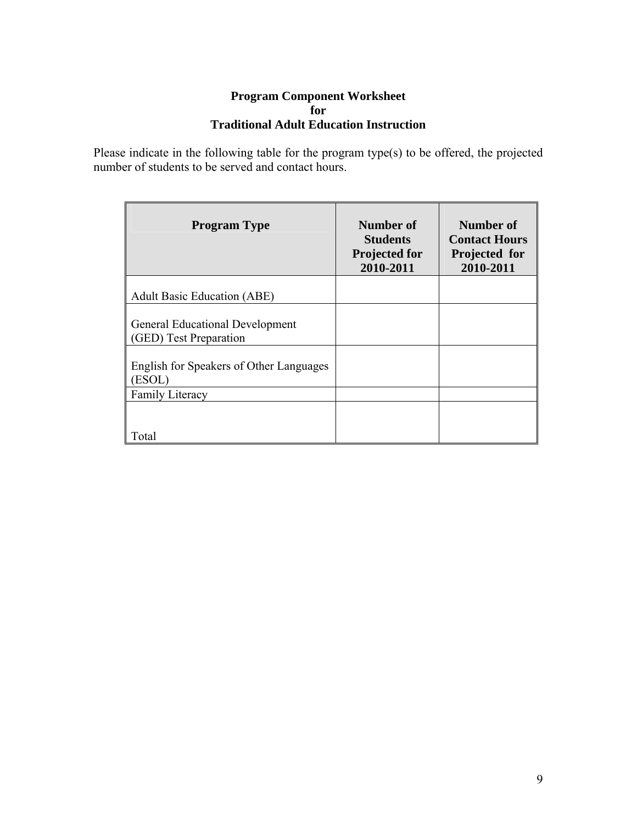## **Program Component Worksheet for Traditional Adult Education Instruction**

Please indicate in the following table for the program type(s) to be offered, the projected number of students to be served and contact hours.

| <b>Program Type</b>                                       | Number of<br><b>Students</b><br><b>Projected for</b><br>2010-2011 | Number of<br><b>Contact Hours</b><br>Projected for<br>2010-2011 |
|-----------------------------------------------------------|-------------------------------------------------------------------|-----------------------------------------------------------------|
| <b>Adult Basic Education (ABE)</b>                        |                                                                   |                                                                 |
| General Educational Development<br>(GED) Test Preparation |                                                                   |                                                                 |
| English for Speakers of Other Languages<br>(ESOL)         |                                                                   |                                                                 |
| <b>Family Literacy</b>                                    |                                                                   |                                                                 |
| Total                                                     |                                                                   |                                                                 |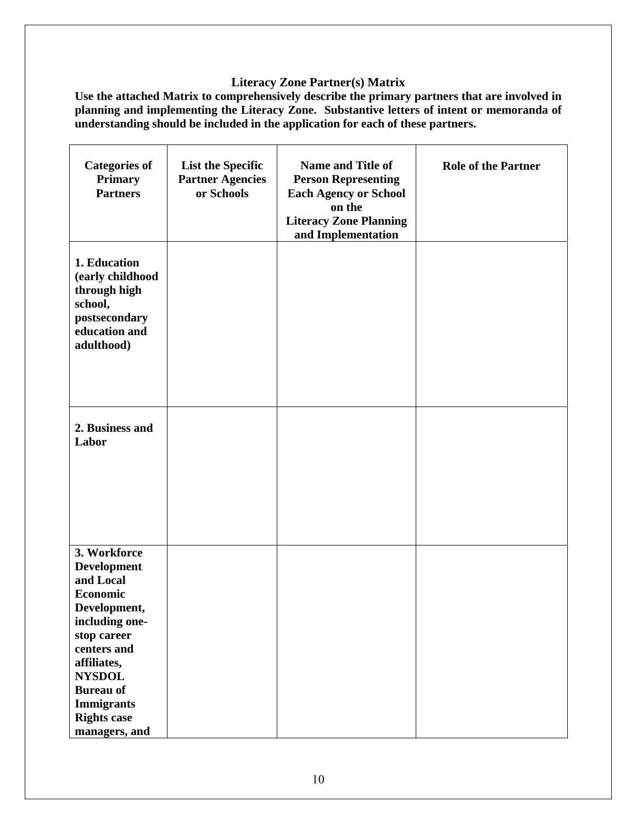## **Literacy Zone Partner(s) Matrix**

**Use the attached Matrix to comprehensively describe the primary partners that are involved in planning and implementing the Literacy Zone. Substantive letters of intent or memoranda of understanding should be included in the application for each of these partners.** 

| <b>Categories of</b><br>Primary<br><b>Partners</b>                                                                                                                                                                                          | <b>List the Specific</b><br><b>Partner Agencies</b><br>or Schools | <b>Name and Title of</b><br><b>Person Representing</b><br><b>Each Agency or School</b><br>on the<br><b>Literacy Zone Planning</b><br>and Implementation | <b>Role of the Partner</b> |
|---------------------------------------------------------------------------------------------------------------------------------------------------------------------------------------------------------------------------------------------|-------------------------------------------------------------------|---------------------------------------------------------------------------------------------------------------------------------------------------------|----------------------------|
| 1. Education<br>(early childhood<br>through high<br>school,<br>postsecondary<br>education and<br>adulthood)                                                                                                                                 |                                                                   |                                                                                                                                                         |                            |
| 2. Business and<br>Labor                                                                                                                                                                                                                    |                                                                   |                                                                                                                                                         |                            |
| 3. Workforce<br>Development<br>and Local<br><b>Economic</b><br>Development,<br>including one-<br>stop career<br>centers and<br>affiliates,<br><b>NYSDOL</b><br><b>Bureau of</b><br><b>Immigrants</b><br><b>Rights case</b><br>managers, and |                                                                   |                                                                                                                                                         |                            |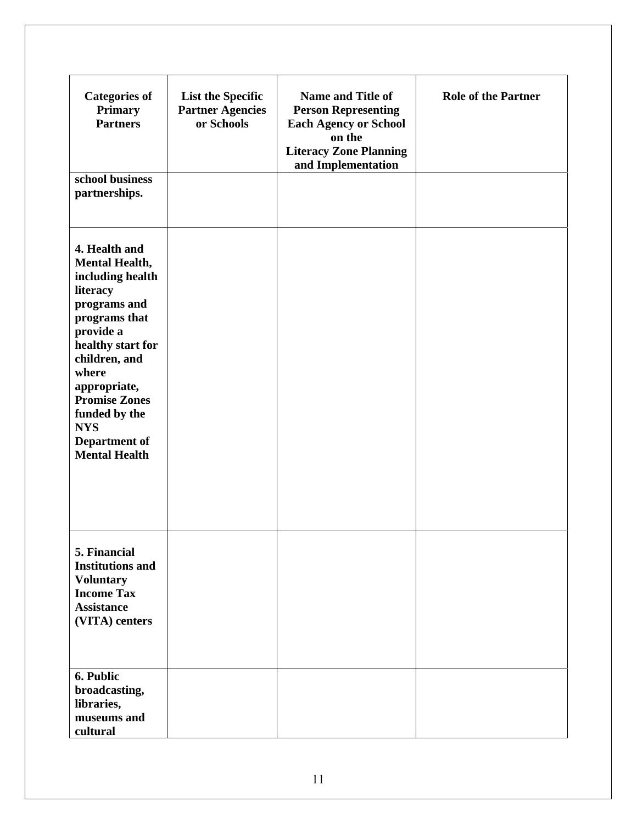| <b>Categories of</b><br><b>Primary</b><br><b>Partners</b>                                                                                                                                                                                                                           | <b>List the Specific</b><br><b>Partner Agencies</b><br>or Schools | <b>Name and Title of</b><br><b>Person Representing</b><br><b>Each Agency or School</b><br>on the<br><b>Literacy Zone Planning</b><br>and Implementation | <b>Role of the Partner</b> |
|-------------------------------------------------------------------------------------------------------------------------------------------------------------------------------------------------------------------------------------------------------------------------------------|-------------------------------------------------------------------|---------------------------------------------------------------------------------------------------------------------------------------------------------|----------------------------|
| school business<br>partnerships.                                                                                                                                                                                                                                                    |                                                                   |                                                                                                                                                         |                            |
| 4. Health and<br><b>Mental Health,</b><br>including health<br>literacy<br>programs and<br>programs that<br>provide a<br>healthy start for<br>children, and<br>where<br>appropriate,<br><b>Promise Zones</b><br>funded by the<br><b>NYS</b><br>Department of<br><b>Mental Health</b> |                                                                   |                                                                                                                                                         |                            |
| 5. Financial<br><b>Institutions and</b><br><b>Voluntary</b><br><b>Income Tax</b><br><b>Assistance</b><br>(VITA) centers                                                                                                                                                             |                                                                   |                                                                                                                                                         |                            |
| 6. Public<br>broadcasting,<br>libraries,<br>museums and<br>cultural                                                                                                                                                                                                                 |                                                                   |                                                                                                                                                         |                            |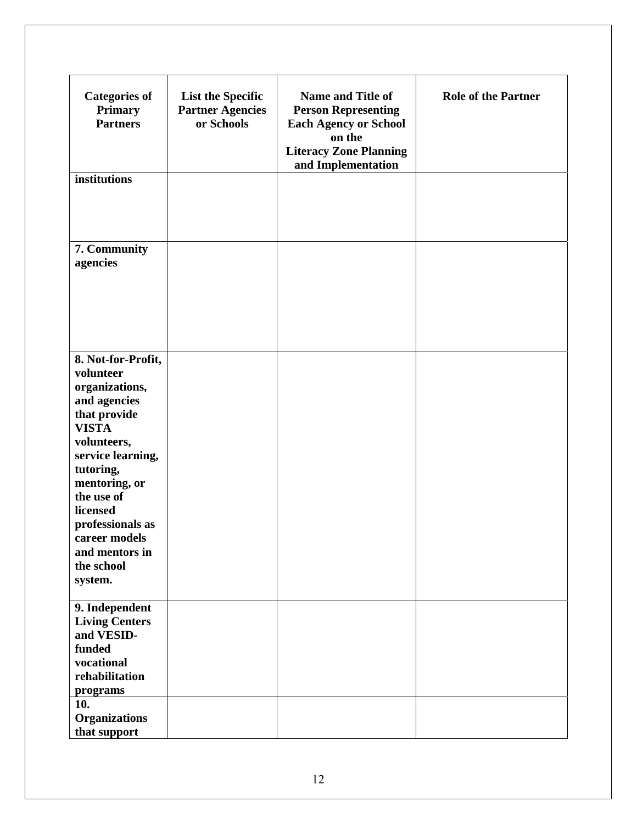| <b>Categories of</b><br>Primary<br><b>Partners</b>                                                                                                                                                                                                                            | <b>List the Specific</b><br><b>Partner Agencies</b><br>or Schools | Name and Title of<br><b>Person Representing</b><br><b>Each Agency or School</b><br>on the<br><b>Literacy Zone Planning</b><br>and Implementation | <b>Role of the Partner</b> |
|-------------------------------------------------------------------------------------------------------------------------------------------------------------------------------------------------------------------------------------------------------------------------------|-------------------------------------------------------------------|--------------------------------------------------------------------------------------------------------------------------------------------------|----------------------------|
| institutions                                                                                                                                                                                                                                                                  |                                                                   |                                                                                                                                                  |                            |
| 7. Community<br>agencies                                                                                                                                                                                                                                                      |                                                                   |                                                                                                                                                  |                            |
| 8. Not-for-Profit,<br>volunteer<br>organizations,<br>and agencies<br>that provide<br><b>VISTA</b><br>volunteers,<br>service learning,<br>tutoring,<br>mentoring, or<br>the use of<br>licensed<br>professionals as<br>career models<br>and mentors in<br>the school<br>system. |                                                                   |                                                                                                                                                  |                            |
| 9. Independent<br><b>Living Centers</b><br>and VESID-<br>funded<br>vocational<br>rehabilitation<br>programs                                                                                                                                                                   |                                                                   |                                                                                                                                                  |                            |
| 10.<br><b>Organizations</b><br>that support                                                                                                                                                                                                                                   |                                                                   |                                                                                                                                                  |                            |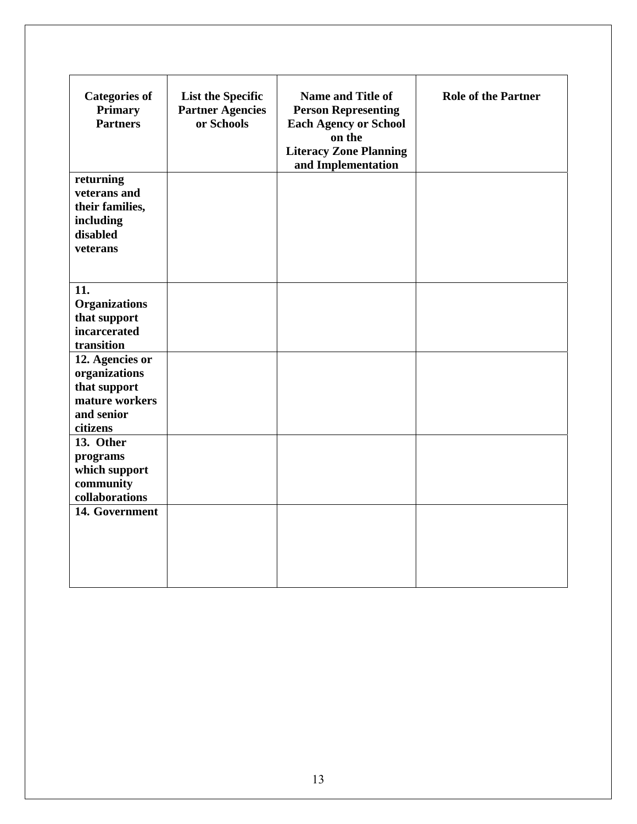| <b>Categories of</b><br><b>Primary</b><br><b>Partners</b>                                    | <b>List the Specific</b><br><b>Partner Agencies</b><br>or Schools | Name and Title of<br><b>Person Representing</b><br><b>Each Agency or School</b><br>on the<br><b>Literacy Zone Planning</b><br>and Implementation | <b>Role of the Partner</b> |
|----------------------------------------------------------------------------------------------|-------------------------------------------------------------------|--------------------------------------------------------------------------------------------------------------------------------------------------|----------------------------|
| returning<br>veterans and<br>their families,<br>including<br>disabled<br>veterans            |                                                                   |                                                                                                                                                  |                            |
| 11.<br><b>Organizations</b><br>that support<br>incarcerated<br>transition                    |                                                                   |                                                                                                                                                  |                            |
| 12. Agencies or<br>organizations<br>that support<br>mature workers<br>and senior<br>citizens |                                                                   |                                                                                                                                                  |                            |
| 13. Other<br>programs<br>which support<br>community<br>collaborations                        |                                                                   |                                                                                                                                                  |                            |
| 14. Government                                                                               |                                                                   |                                                                                                                                                  |                            |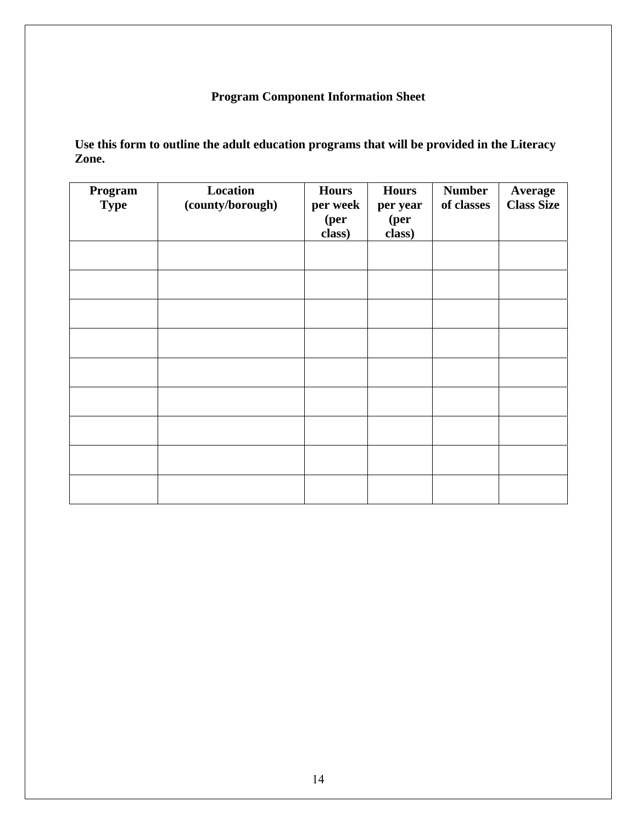# **Program Component Information Sheet**

**Use this form to outline the adult education programs that will be provided in the Literacy Zone.** 

| Program<br><b>Type</b> | Location<br>(county/borough) | <b>Hours</b><br>per week<br>(per | <b>Hours</b><br>per year<br>(per | <b>Number</b><br>of classes | Average<br><b>Class Size</b> |
|------------------------|------------------------------|----------------------------------|----------------------------------|-----------------------------|------------------------------|
|                        |                              | class)                           | class)                           |                             |                              |
|                        |                              |                                  |                                  |                             |                              |
|                        |                              |                                  |                                  |                             |                              |
|                        |                              |                                  |                                  |                             |                              |
|                        |                              |                                  |                                  |                             |                              |
|                        |                              |                                  |                                  |                             |                              |
|                        |                              |                                  |                                  |                             |                              |
|                        |                              |                                  |                                  |                             |                              |
|                        |                              |                                  |                                  |                             |                              |
|                        |                              |                                  |                                  |                             |                              |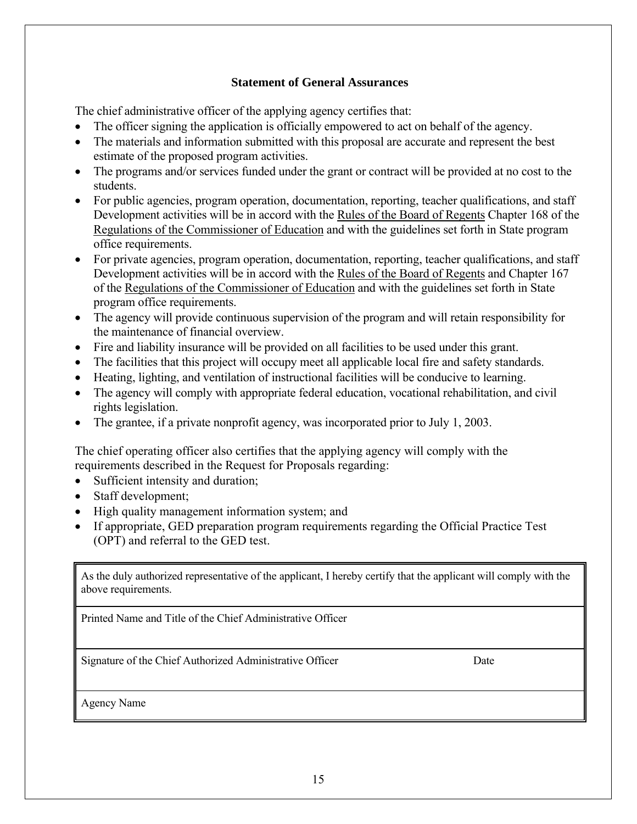## **Statement of General Assurances**

The chief administrative officer of the applying agency certifies that:

- The officer signing the application is officially empowered to act on behalf of the agency.
- The materials and information submitted with this proposal are accurate and represent the best estimate of the proposed program activities.
- The programs and/or services funded under the grant or contract will be provided at no cost to the students.
- For public agencies, program operation, documentation, reporting, teacher qualifications, and staff Development activities will be in accord with the Rules of the Board of Regents Chapter 168 of the Regulations of the Commissioner of Education and with the guidelines set forth in State program office requirements.
- For private agencies, program operation, documentation, reporting, teacher qualifications, and staff Development activities will be in accord with the Rules of the Board of Regents and Chapter 167 of the Regulations of the Commissioner of Education and with the guidelines set forth in State program office requirements.
- The agency will provide continuous supervision of the program and will retain responsibility for the maintenance of financial overview.
- Fire and liability insurance will be provided on all facilities to be used under this grant.
- The facilities that this project will occupy meet all applicable local fire and safety standards.
- Heating, lighting, and ventilation of instructional facilities will be conducive to learning.
- The agency will comply with appropriate federal education, vocational rehabilitation, and civil rights legislation.
- The grantee, if a private nonprofit agency, was incorporated prior to July 1, 2003.

The chief operating officer also certifies that the applying agency will comply with the requirements described in the Request for Proposals regarding:

- Sufficient intensity and duration;
- Staff development;
- High quality management information system; and
- If appropriate, GED preparation program requirements regarding the Official Practice Test (OPT) and referral to the GED test.

As the duly authorized representative of the applicant, I hereby certify that the applicant will comply with the above requirements.

Printed Name and Title of the Chief Administrative Officer

Signature of the Chief Authorized Administrative Officer Date Date

Agency Name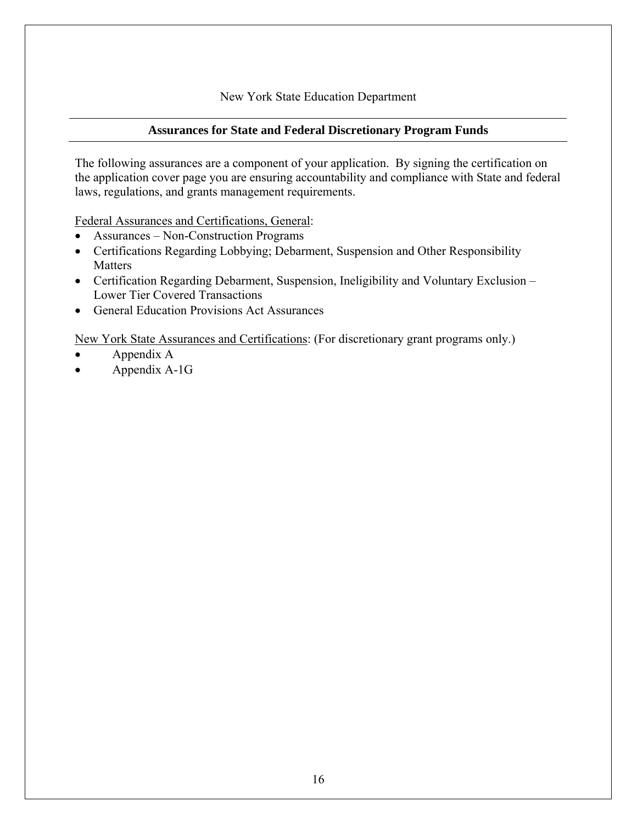## New York State Education Department

#### **Assurances for State and Federal Discretionary Program Funds**

The following assurances are a component of your application. By signing the certification on the application cover page you are ensuring accountability and compliance with State and federal laws, regulations, and grants management requirements.

Federal Assurances and Certifications, General:

- Assurances Non-Construction Programs
- Certifications Regarding Lobbying; Debarment, Suspension and Other Responsibility Matters
- Certification Regarding Debarment, Suspension, Ineligibility and Voluntary Exclusion Lower Tier Covered Transactions
- General Education Provisions Act Assurances

New York State Assurances and Certifications: (For discretionary grant programs only.)

- Appendix A
- Appendix A-1G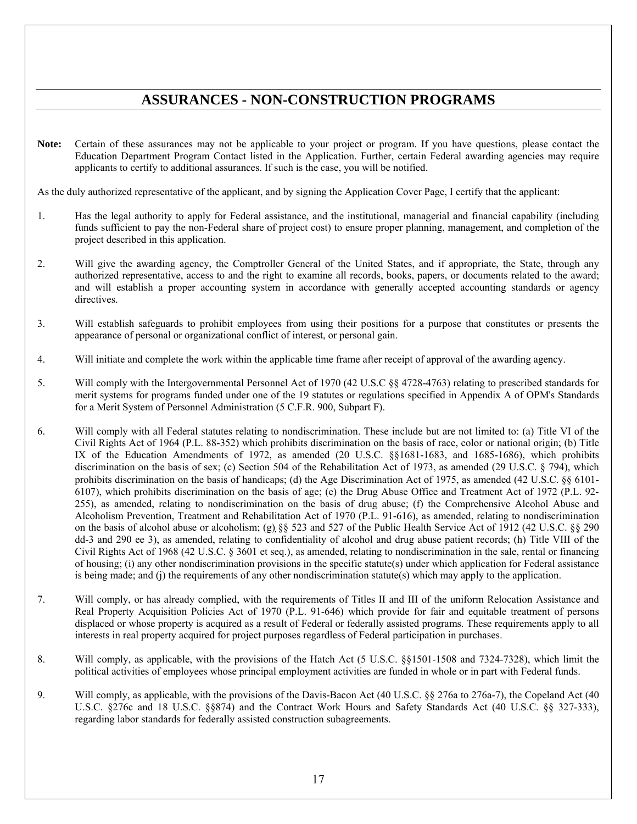# **ASSURANCES - NON-CONSTRUCTION PROGRAMS**

**Note:** Certain of these assurances may not be applicable to your project or program. If you have questions, please contact the Education Department Program Contact listed in the Application. Further, certain Federal awarding agencies may require applicants to certify to additional assurances. If such is the case, you will be notified.

As the duly authorized representative of the applicant, and by signing the Application Cover Page, I certify that the applicant:

- 1. Has the legal authority to apply for Federal assistance, and the institutional, managerial and financial capability (including funds sufficient to pay the non-Federal share of project cost) to ensure proper planning, management, and completion of the project described in this application.
- 2. Will give the awarding agency, the Comptroller General of the United States, and if appropriate, the State, through any authorized representative, access to and the right to examine all records, books, papers, or documents related to the award; and will establish a proper accounting system in accordance with generally accepted accounting standards or agency directives.
- 3. Will establish safeguards to prohibit employees from using their positions for a purpose that constitutes or presents the appearance of personal or organizational conflict of interest, or personal gain.
- 4. Will initiate and complete the work within the applicable time frame after receipt of approval of the awarding agency.
- 5. Will comply with the Intergovernmental Personnel Act of 1970 (42 U.S.C §§ 4728-4763) relating to prescribed standards for merit systems for programs funded under one of the 19 statutes or regulations specified in Appendix A of OPM's Standards for a Merit System of Personnel Administration (5 C.F.R. 900, Subpart F).
- 6. Will comply with all Federal statutes relating to nondiscrimination. These include but are not limited to: (a) Title VI of the Civil Rights Act of 1964 (P.L. 88-352) which prohibits discrimination on the basis of race, color or national origin; (b) Title IX of the Education Amendments of 1972, as amended (20 U.S.C. §§1681-1683, and 1685-1686), which prohibits discrimination on the basis of sex; (c) Section 504 of the Rehabilitation Act of 1973, as amended (29 U.S.C. § 794), which prohibits discrimination on the basis of handicaps; (d) the Age Discrimination Act of 1975, as amended (42 U.S.C. §§ 6101- 6107), which prohibits discrimination on the basis of age; (e) the Drug Abuse Office and Treatment Act of 1972 (P.L. 92- 255), as amended, relating to nondiscrimination on the basis of drug abuse; (f) the Comprehensive Alcohol Abuse and Alcoholism Prevention, Treatment and Rehabilitation Act of 1970 (P.L. 91-616), as amended, relating to nondiscrimination on the basis of alcohol abuse or alcoholism; (g) §§ 523 and 527 of the Public Health Service Act of 1912 (42 U.S.C. §§ 290 dd-3 and 290 ee 3), as amended, relating to confidentiality of alcohol and drug abuse patient records; (h) Title VIII of the Civil Rights Act of 1968 (42 U.S.C. § 3601 et seq.), as amended, relating to nondiscrimination in the sale, rental or financing of housing; (i) any other nondiscrimination provisions in the specific statute(s) under which application for Federal assistance is being made; and (j) the requirements of any other nondiscrimination statute(s) which may apply to the application.
- 7. Will comply, or has already complied, with the requirements of Titles II and III of the uniform Relocation Assistance and Real Property Acquisition Policies Act of 1970 (P.L. 91-646) which provide for fair and equitable treatment of persons displaced or whose property is acquired as a result of Federal or federally assisted programs. These requirements apply to all interests in real property acquired for project purposes regardless of Federal participation in purchases.
- 8. Will comply, as applicable, with the provisions of the Hatch Act (5 U.S.C. §§1501-1508 and 7324-7328), which limit the political activities of employees whose principal employment activities are funded in whole or in part with Federal funds.
- 9. Will comply, as applicable, with the provisions of the Davis-Bacon Act (40 U.S.C. §§ 276a to 276a-7), the Copeland Act (40 U.S.C. §276c and 18 U.S.C. §§874) and the Contract Work Hours and Safety Standards Act (40 U.S.C. §§ 327-333), regarding labor standards for federally assisted construction subagreements.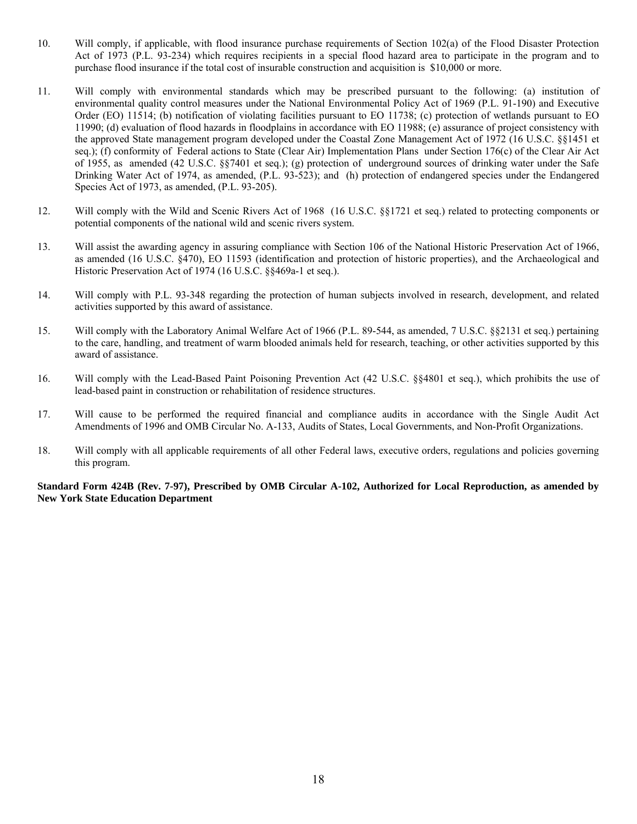- 10. Will comply, if applicable, with flood insurance purchase requirements of Section 102(a) of the Flood Disaster Protection Act of 1973 (P.L. 93-234) which requires recipients in a special flood hazard area to participate in the program and to purchase flood insurance if the total cost of insurable construction and acquisition is \$10,000 or more.
- 11. Will comply with environmental standards which may be prescribed pursuant to the following: (a) institution of environmental quality control measures under the National Environmental Policy Act of 1969 (P.L. 91-190) and Executive Order (EO) 11514; (b) notification of violating facilities pursuant to EO 11738; (c) protection of wetlands pursuant to EO 11990; (d) evaluation of flood hazards in floodplains in accordance with EO 11988; (e) assurance of project consistency with the approved State management program developed under the Coastal Zone Management Act of 1972 (16 U.S.C. §§1451 et seq.); (f) conformity of Federal actions to State (Clear Air) Implementation Plans under Section 176(c) of the Clear Air Act of 1955, as amended (42 U.S.C. §§7401 et seq.); (g) protection of underground sources of drinking water under the Safe Drinking Water Act of 1974, as amended, (P.L. 93-523); and (h) protection of endangered species under the Endangered Species Act of 1973, as amended, (P.L. 93-205).
- 12. Will comply with the Wild and Scenic Rivers Act of 1968 (16 U.S.C. §§1721 et seq.) related to protecting components or potential components of the national wild and scenic rivers system.
- 13. Will assist the awarding agency in assuring compliance with Section 106 of the National Historic Preservation Act of 1966, as amended (16 U.S.C. §470), EO 11593 (identification and protection of historic properties), and the Archaeological and Historic Preservation Act of 1974 (16 U.S.C. §§469a-1 et seq.).
- 14. Will comply with P.L. 93-348 regarding the protection of human subjects involved in research, development, and related activities supported by this award of assistance.
- 15. Will comply with the Laboratory Animal Welfare Act of 1966 (P.L. 89-544, as amended, 7 U.S.C. §§2131 et seq.) pertaining to the care, handling, and treatment of warm blooded animals held for research, teaching, or other activities supported by this award of assistance.
- 16. Will comply with the Lead-Based Paint Poisoning Prevention Act (42 U.S.C. §§4801 et seq.), which prohibits the use of lead-based paint in construction or rehabilitation of residence structures.
- 17. Will cause to be performed the required financial and compliance audits in accordance with the Single Audit Act Amendments of 1996 and OMB Circular No. A-133, Audits of States, Local Governments, and Non-Profit Organizations.
- 18. Will comply with all applicable requirements of all other Federal laws, executive orders, regulations and policies governing this program.

**Standard Form 424B (Rev. 7-97), Prescribed by OMB Circular A-102, Authorized for Local Reproduction, as amended by New York State Education Department**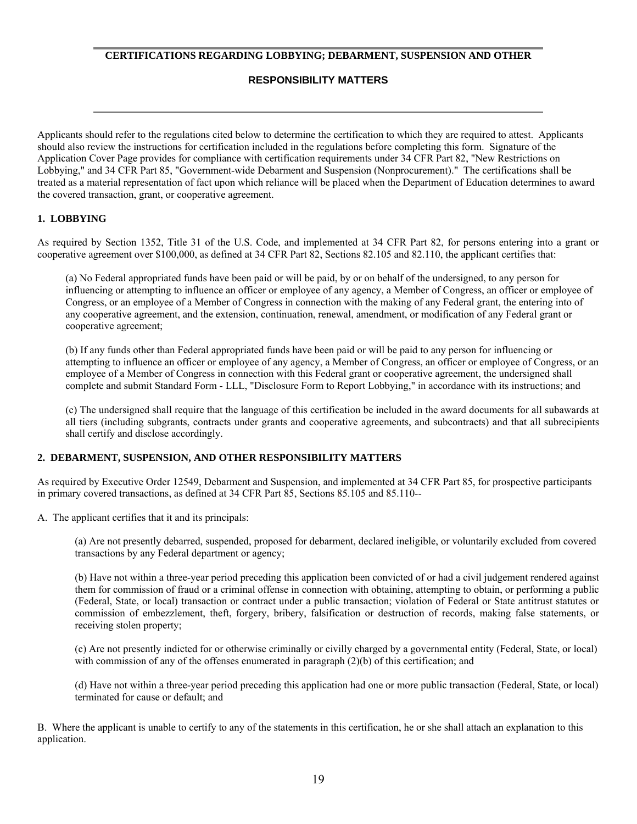#### **CERTIFICATIONS REGARDING LOBBYING; DEBARMENT, SUSPENSION AND OTHER**

#### **RESPONSIBILITY MATTERS**

Applicants should refer to the regulations cited below to determine the certification to which they are required to attest. Applicants should also review the instructions for certification included in the regulations before completing this form. Signature of the Application Cover Page provides for compliance with certification requirements under 34 CFR Part 82, "New Restrictions on Lobbying," and 34 CFR Part 85, "Government-wide Debarment and Suspension (Nonprocurement)." The certifications shall be treated as a material representation of fact upon which reliance will be placed when the Department of Education determines to award the covered transaction, grant, or cooperative agreement.

#### **1. LOBBYING**

As required by Section 1352, Title 31 of the U.S. Code, and implemented at 34 CFR Part 82, for persons entering into a grant or cooperative agreement over \$100,000, as defined at 34 CFR Part 82, Sections 82.105 and 82.110, the applicant certifies that:

(a) No Federal appropriated funds have been paid or will be paid, by or on behalf of the undersigned, to any person for influencing or attempting to influence an officer or employee of any agency, a Member of Congress, an officer or employee of Congress, or an employee of a Member of Congress in connection with the making of any Federal grant, the entering into of any cooperative agreement, and the extension, continuation, renewal, amendment, or modification of any Federal grant or cooperative agreement;

(b) If any funds other than Federal appropriated funds have been paid or will be paid to any person for influencing or attempting to influence an officer or employee of any agency, a Member of Congress, an officer or employee of Congress, or an employee of a Member of Congress in connection with this Federal grant or cooperative agreement, the undersigned shall complete and submit Standard Form - LLL, "Disclosure Form to Report Lobbying," in accordance with its instructions; and

(c) The undersigned shall require that the language of this certification be included in the award documents for all subawards at all tiers (including subgrants, contracts under grants and cooperative agreements, and subcontracts) and that all subrecipients shall certify and disclose accordingly.

#### **2. DEBARMENT, SUSPENSION, AND OTHER RESPONSIBILITY MATTERS**

As required by Executive Order 12549, Debarment and Suspension, and implemented at 34 CFR Part 85, for prospective participants in primary covered transactions, as defined at 34 CFR Part 85, Sections 85.105 and 85.110--

A. The applicant certifies that it and its principals:

(a) Are not presently debarred, suspended, proposed for debarment, declared ineligible, or voluntarily excluded from covered transactions by any Federal department or agency;

(b) Have not within a three-year period preceding this application been convicted of or had a civil judgement rendered against them for commission of fraud or a criminal offense in connection with obtaining, attempting to obtain, or performing a public (Federal, State, or local) transaction or contract under a public transaction; violation of Federal or State antitrust statutes or commission of embezzlement, theft, forgery, bribery, falsification or destruction of records, making false statements, or receiving stolen property;

(c) Are not presently indicted for or otherwise criminally or civilly charged by a governmental entity (Federal, State, or local) with commission of any of the offenses enumerated in paragraph (2)(b) of this certification; and

(d) Have not within a three-year period preceding this application had one or more public transaction (Federal, State, or local) terminated for cause or default; and

B. Where the applicant is unable to certify to any of the statements in this certification, he or she shall attach an explanation to this application.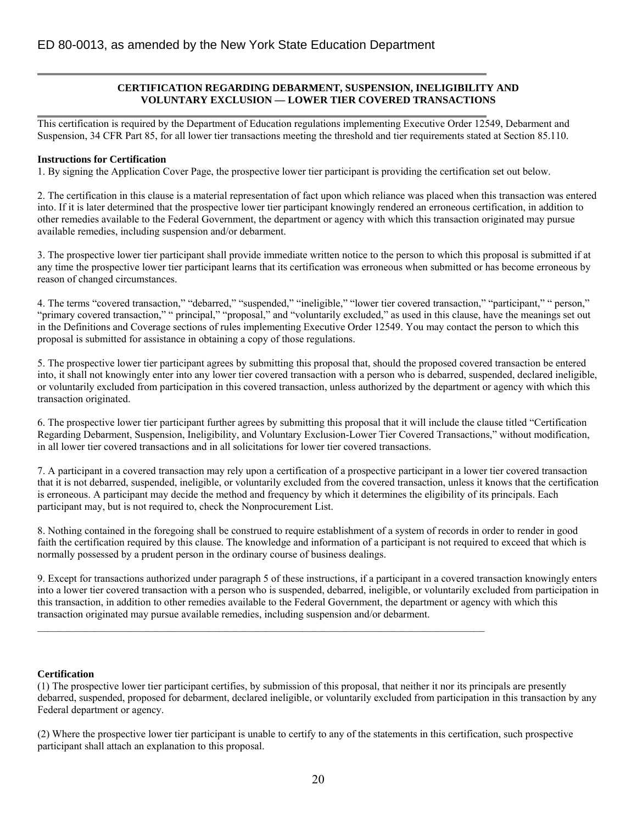#### **CERTIFICATION REGARDING DEBARMENT, SUSPENSION, INELIGIBILITY AND VOLUNTARY EXCLUSION — LOWER TIER COVERED TRANSACTIONS**

This certification is required by the Department of Education regulations implementing Executive Order 12549, Debarment and Suspension, 34 CFR Part 85, for all lower tier transactions meeting the threshold and tier requirements stated at Section 85.110.

#### **Instructions for Certification**

1. By signing the Application Cover Page, the prospective lower tier participant is providing the certification set out below.

2. The certification in this clause is a material representation of fact upon which reliance was placed when this transaction was entered into. If it is later determined that the prospective lower tier participant knowingly rendered an erroneous certification, in addition to other remedies available to the Federal Government, the department or agency with which this transaction originated may pursue available remedies, including suspension and/or debarment.

3. The prospective lower tier participant shall provide immediate written notice to the person to which this proposal is submitted if at any time the prospective lower tier participant learns that its certification was erroneous when submitted or has become erroneous by reason of changed circumstances.

4. The terms "covered transaction," "debarred," "suspended," "ineligible," "lower tier covered transaction," "participant," " person," "primary covered transaction," " principal," "proposal," and "voluntarily excluded," as used in this clause, have the meanings set out in the Definitions and Coverage sections of rules implementing Executive Order 12549. You may contact the person to which this proposal is submitted for assistance in obtaining a copy of those regulations.

5. The prospective lower tier participant agrees by submitting this proposal that, should the proposed covered transaction be entered into, it shall not knowingly enter into any lower tier covered transaction with a person who is debarred, suspended, declared ineligible, or voluntarily excluded from participation in this covered transaction, unless authorized by the department or agency with which this transaction originated.

6. The prospective lower tier participant further agrees by submitting this proposal that it will include the clause titled "Certification Regarding Debarment, Suspension, Ineligibility, and Voluntary Exclusion-Lower Tier Covered Transactions," without modification, in all lower tier covered transactions and in all solicitations for lower tier covered transactions.

7. A participant in a covered transaction may rely upon a certification of a prospective participant in a lower tier covered transaction that it is not debarred, suspended, ineligible, or voluntarily excluded from the covered transaction, unless it knows that the certification is erroneous. A participant may decide the method and frequency by which it determines the eligibility of its principals. Each participant may, but is not required to, check the Nonprocurement List.

8. Nothing contained in the foregoing shall be construed to require establishment of a system of records in order to render in good faith the certification required by this clause. The knowledge and information of a participant is not required to exceed that which is normally possessed by a prudent person in the ordinary course of business dealings.

9. Except for transactions authorized under paragraph 5 of these instructions, if a participant in a covered transaction knowingly enters into a lower tier covered transaction with a person who is suspended, debarred, ineligible, or voluntarily excluded from participation in this transaction, in addition to other remedies available to the Federal Government, the department or agency with which this transaction originated may pursue available remedies, including suspension and/or debarment.

 $\mathcal{L}_\mathcal{L} = \{ \mathcal{L}_\mathcal{L} = \{ \mathcal{L}_\mathcal{L} = \{ \mathcal{L}_\mathcal{L} = \{ \mathcal{L}_\mathcal{L} = \{ \mathcal{L}_\mathcal{L} = \{ \mathcal{L}_\mathcal{L} = \{ \mathcal{L}_\mathcal{L} = \{ \mathcal{L}_\mathcal{L} = \{ \mathcal{L}_\mathcal{L} = \{ \mathcal{L}_\mathcal{L} = \{ \mathcal{L}_\mathcal{L} = \{ \mathcal{L}_\mathcal{L} = \{ \mathcal{L}_\mathcal{L} = \{ \mathcal{L}_\mathcal{$ 

#### **Certification**

(1) The prospective lower tier participant certifies, by submission of this proposal, that neither it nor its principals are presently debarred, suspended, proposed for debarment, declared ineligible, or voluntarily excluded from participation in this transaction by any Federal department or agency.

(2) Where the prospective lower tier participant is unable to certify to any of the statements in this certification, such prospective participant shall attach an explanation to this proposal.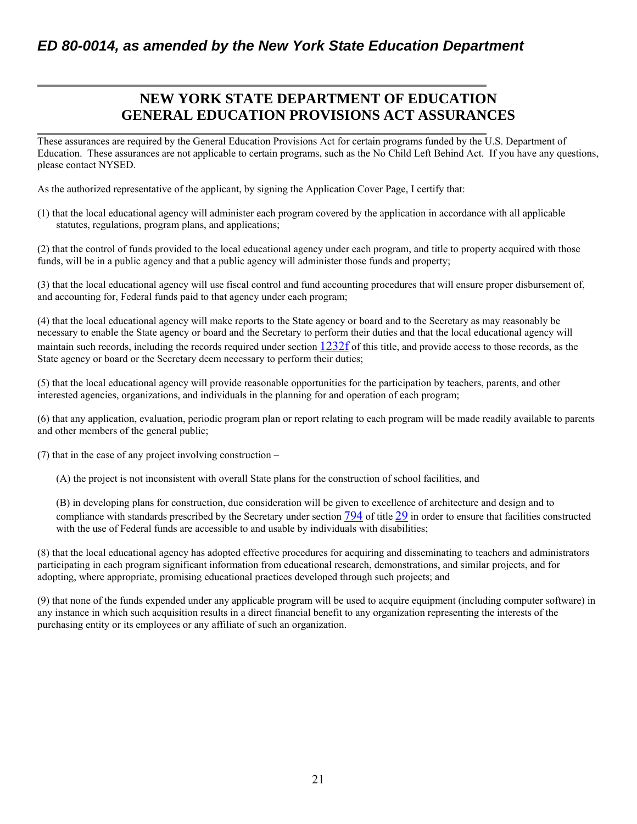# **NEW YORK STATE DEPARTMENT OF EDUCATION GENERAL EDUCATION PROVISIONS ACT ASSURANCES**

These assurances are required by the General Education Provisions Act for certain programs funded by the U.S. Department of Education. These assurances are not applicable to certain programs, such as the No Child Left Behind Act. If you have any questions, please contact NYSED.

As the authorized representative of the applicant, by signing the Application Cover Page, I certify that:

(1) that the local educational agency will administer each program covered by the application in accordance with all applicable statutes, regulations, program plans, and applications;

(2) that the control of funds provided to the local educational agency under each program, and title to property acquired with those funds, will be in a public agency and that a public agency will administer those funds and property;

(3) that the local educational agency will use fiscal control and fund accounting procedures that will ensure proper disbursement of, and accounting for, Federal funds paid to that agency under each program;

(4) that the local educational agency will make reports to the State agency or board and to the Secretary as may reasonably be necessary to enable the State agency or board and the Secretary to perform their duties and that the local educational agency will maintain such records, including the records required under section  $1232f$  of this title, and provide access to those records, as the State agency or board or the Secretary deem necessary to perform their duties;

(5) that the local educational agency will provide reasonable opportunities for the participation by teachers, parents, and other interested agencies, organizations, and individuals in the planning for and operation of each program;

(6) that any application, evaluation, periodic program plan or report relating to each program will be made readily available to parents and other members of the general public;

(7) that in the case of any project involving construction –

(A) the project is not inconsistent with overall State plans for the construction of school facilities, and

(B) in developing plans for construction, due consideration will be given to excellence of architecture and design and to compliance with standards prescribed by the Secretary under section [794](http://www4.law.cornell.edu/cgi-bin/htm_hl?DB=uscode&STEMMER=en&WORDS=1232e+&COLOUR=Red&STYLE=s&URL=/uscode/29/794.html) of title [29](http://www4.law.cornell.edu/cgi-bin/htm_hl?DB=uscode&STEMMER=en&WORDS=1232e+&COLOUR=Red&STYLE=s&URL=/uscode/29/index.html) in order to ensure that facilities constructed with the use of Federal funds are accessible to and usable by individuals with disabilities;

(8) that the local educational agency has adopted effective procedures for acquiring and disseminating to teachers and administrators participating in each program significant information from educational research, demonstrations, and similar projects, and for adopting, where appropriate, promising educational practices developed through such projects; and

(9) that none of the funds expended under any applicable program will be used to acquire equipment (including computer software) in any instance in which such acquisition results in a direct financial benefit to any organization representing the interests of the purchasing entity or its employees or any affiliate of such an organization.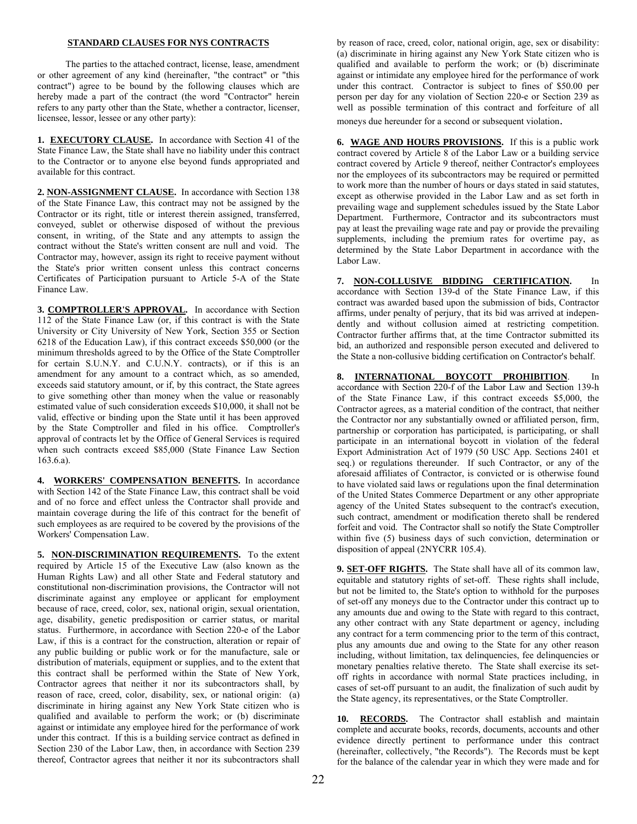#### **STANDARD CLAUSES FOR NYS CONTRACTS**

 The parties to the attached contract, license, lease, amendment or other agreement of any kind (hereinafter, "the contract" or "this contract") agree to be bound by the following clauses which are hereby made a part of the contract (the word "Contractor" herein refers to any party other than the State, whether a contractor, licenser, licensee, lessor, lessee or any other party):

**1. EXECUTORY CLAUSE.** In accordance with Section 41 of the State Finance Law, the State shall have no liability under this contract to the Contractor or to anyone else beyond funds appropriated and available for this contract.

**2. NON-ASSIGNMENT CLAUSE.** In accordance with Section 138 of the State Finance Law, this contract may not be assigned by the Contractor or its right, title or interest therein assigned, transferred, conveyed, sublet or otherwise disposed of without the previous consent, in writing, of the State and any attempts to assign the contract without the State's written consent are null and void. The Contractor may, however, assign its right to receive payment without the State's prior written consent unless this contract concerns Certificates of Participation pursuant to Article 5-A of the State Finance Law.

**3. COMPTROLLER'S APPROVAL.** In accordance with Section 112 of the State Finance Law (or, if this contract is with the State University or City University of New York, Section 355 or Section 6218 of the Education Law), if this contract exceeds \$50,000 (or the minimum thresholds agreed to by the Office of the State Comptroller for certain S.U.N.Y. and C.U.N.Y. contracts), or if this is an amendment for any amount to a contract which, as so amended, exceeds said statutory amount, or if, by this contract, the State agrees to give something other than money when the value or reasonably estimated value of such consideration exceeds \$10,000, it shall not be valid, effective or binding upon the State until it has been approved by the State Comptroller and filed in his office. Comptroller's approval of contracts let by the Office of General Services is required when such contracts exceed \$85,000 (State Finance Law Section 163.6.a).

**4. WORKERS' COMPENSATION BENEFITS.** In accordance with Section 142 of the State Finance Law, this contract shall be void and of no force and effect unless the Contractor shall provide and maintain coverage during the life of this contract for the benefit of such employees as are required to be covered by the provisions of the Workers' Compensation Law.

**5. NON-DISCRIMINATION REQUIREMENTS.** To the extent required by Article 15 of the Executive Law (also known as the Human Rights Law) and all other State and Federal statutory and constitutional non-discrimination provisions, the Contractor will not discriminate against any employee or applicant for employment because of race, creed, color, sex, national origin, sexual orientation, age, disability, genetic predisposition or carrier status, or marital status. Furthermore, in accordance with Section 220-e of the Labor Law, if this is a contract for the construction, alteration or repair of any public building or public work or for the manufacture, sale or distribution of materials, equipment or supplies, and to the extent that this contract shall be performed within the State of New York, Contractor agrees that neither it nor its subcontractors shall, by reason of race, creed, color, disability, sex, or national origin: (a) discriminate in hiring against any New York State citizen who is qualified and available to perform the work; or (b) discriminate against or intimidate any employee hired for the performance of work under this contract. If this is a building service contract as defined in Section 230 of the Labor Law, then, in accordance with Section 239 thereof, Contractor agrees that neither it nor its subcontractors shall

by reason of race, creed, color, national origin, age, sex or disability: (a) discriminate in hiring against any New York State citizen who is qualified and available to perform the work; or (b) discriminate against or intimidate any employee hired for the performance of work under this contract. Contractor is subject to fines of \$50.00 per person per day for any violation of Section 220-e or Section 239 as well as possible termination of this contract and forfeiture of all moneys due hereunder for a second or subsequent violation.

**6. WAGE AND HOURS PROVISIONS.** If this is a public work contract covered by Article 8 of the Labor Law or a building service contract covered by Article 9 thereof, neither Contractor's employees nor the employees of its subcontractors may be required or permitted to work more than the number of hours or days stated in said statutes, except as otherwise provided in the Labor Law and as set forth in prevailing wage and supplement schedules issued by the State Labor Department. Furthermore, Contractor and its subcontractors must pay at least the prevailing wage rate and pay or provide the prevailing supplements, including the premium rates for overtime pay, as determined by the State Labor Department in accordance with the Labor Law.

**7. NON-COLLUSIVE BIDDING CERTIFICATION.** In accordance with Section 139-d of the State Finance Law, if this contract was awarded based upon the submission of bids, Contractor affirms, under penalty of perjury, that its bid was arrived at independently and without collusion aimed at restricting competition. Contractor further affirms that, at the time Contractor submitted its bid, an authorized and responsible person executed and delivered to the State a non-collusive bidding certification on Contractor's behalf.

**8. INTERNATIONAL BOYCOTT PROHIBITION**. In accordance with Section 220-f of the Labor Law and Section 139-h of the State Finance Law, if this contract exceeds \$5,000, the Contractor agrees, as a material condition of the contract, that neither the Contractor nor any substantially owned or affiliated person, firm, partnership or corporation has participated, is participating, or shall participate in an international boycott in violation of the federal Export Administration Act of 1979 (50 USC App. Sections 2401 et seq.) or regulations thereunder. If such Contractor, or any of the aforesaid affiliates of Contractor, is convicted or is otherwise found to have violated said laws or regulations upon the final determination of the United States Commerce Department or any other appropriate agency of the United States subsequent to the contract's execution, such contract, amendment or modification thereto shall be rendered forfeit and void. The Contractor shall so notify the State Comptroller within five (5) business days of such conviction, determination or disposition of appeal (2NYCRR 105.4).

**9. SET-OFF RIGHTS.** The State shall have all of its common law, equitable and statutory rights of set-off. These rights shall include, but not be limited to, the State's option to withhold for the purposes of set-off any moneys due to the Contractor under this contract up to any amounts due and owing to the State with regard to this contract, any other contract with any State department or agency, including any contract for a term commencing prior to the term of this contract, plus any amounts due and owing to the State for any other reason including, without limitation, tax delinquencies, fee delinquencies or monetary penalties relative thereto. The State shall exercise its setoff rights in accordance with normal State practices including, in cases of set-off pursuant to an audit, the finalization of such audit by the State agency, its representatives, or the State Comptroller.

**10. RECORDS.** The Contractor shall establish and maintain complete and accurate books, records, documents, accounts and other evidence directly pertinent to performance under this contract (hereinafter, collectively, "the Records"). The Records must be kept for the balance of the calendar year in which they were made and for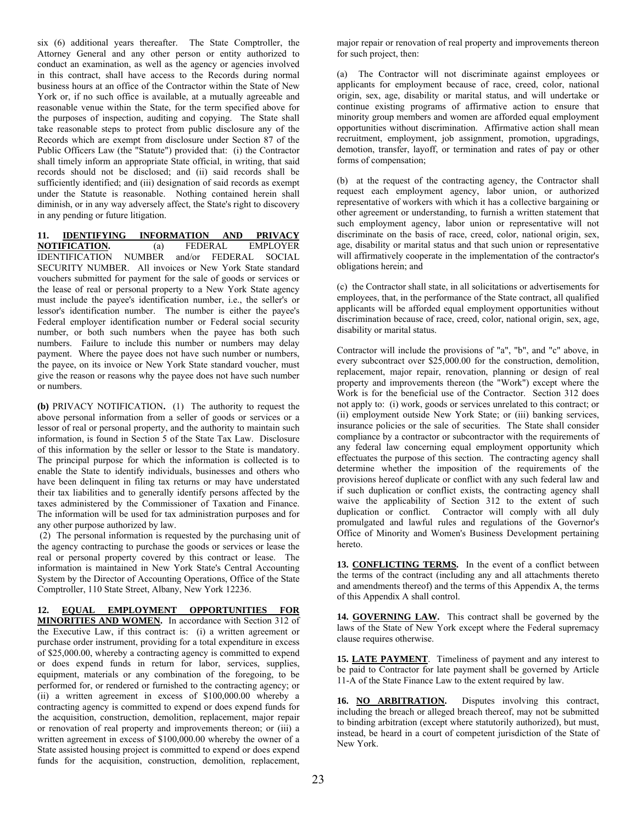six (6) additional years thereafter. The State Comptroller, the Attorney General and any other person or entity authorized to conduct an examination, as well as the agency or agencies involved in this contract, shall have access to the Records during normal business hours at an office of the Contractor within the State of New York or, if no such office is available, at a mutually agreeable and reasonable venue within the State, for the term specified above for the purposes of inspection, auditing and copying. The State shall take reasonable steps to protect from public disclosure any of the Records which are exempt from disclosure under Section 87 of the Public Officers Law (the "Statute") provided that: (i) the Contractor shall timely inform an appropriate State official, in writing, that said records should not be disclosed; and (ii) said records shall be sufficiently identified; and (iii) designation of said records as exempt under the Statute is reasonable. Nothing contained herein shall diminish, or in any way adversely affect, the State's right to discovery in any pending or future litigation.

11. **IDENTIFYING INFORMATION AND PRIVACY**<br>**NOTIFICATION.** (a) FEDERAL EMPLOYER **NOTIFICATION.** (a) FEDERAL EMPLOYER IDENTIFICATION NUMBER and/or FEDERAL SOCIAL SECURITY NUMBER. All invoices or New York State standard vouchers submitted for payment for the sale of goods or services or the lease of real or personal property to a New York State agency must include the payee's identification number, i.e., the seller's or lessor's identification number. The number is either the payee's Federal employer identification number or Federal social security number, or both such numbers when the payee has both such numbers. Failure to include this number or numbers may delay payment. Where the payee does not have such number or numbers, the payee, on its invoice or New York State standard voucher, must give the reason or reasons why the payee does not have such number or numbers.

**(b)** PRIVACY NOTIFICATION**.** (1) The authority to request the above personal information from a seller of goods or services or a lessor of real or personal property, and the authority to maintain such information, is found in Section 5 of the State Tax Law. Disclosure of this information by the seller or lessor to the State is mandatory. The principal purpose for which the information is collected is to enable the State to identify individuals, businesses and others who have been delinquent in filing tax returns or may have understated their tax liabilities and to generally identify persons affected by the taxes administered by the Commissioner of Taxation and Finance. The information will be used for tax administration purposes and for any other purpose authorized by law.

 (2) The personal information is requested by the purchasing unit of the agency contracting to purchase the goods or services or lease the real or personal property covered by this contract or lease. The information is maintained in New York State's Central Accounting System by the Director of Accounting Operations, Office of the State Comptroller, 110 State Street, Albany, New York 12236.

**12. EQUAL EMPLOYMENT OPPORTUNITIES FOR MINORITIES AND WOMEN.** In accordance with Section 312 of the Executive Law, if this contract is: (i) a written agreement or purchase order instrument, providing for a total expenditure in excess of \$25,000.00, whereby a contracting agency is committed to expend or does expend funds in return for labor, services, supplies, equipment, materials or any combination of the foregoing, to be performed for, or rendered or furnished to the contracting agency; or (ii) a written agreement in excess of \$100,000.00 whereby a contracting agency is committed to expend or does expend funds for the acquisition, construction, demolition, replacement, major repair or renovation of real property and improvements thereon; or (iii) a written agreement in excess of \$100,000.00 whereby the owner of a State assisted housing project is committed to expend or does expend funds for the acquisition, construction, demolition, replacement,

major repair or renovation of real property and improvements thereon for such project, then:

(a) The Contractor will not discriminate against employees or applicants for employment because of race, creed, color, national origin, sex, age, disability or marital status, and will undertake or continue existing programs of affirmative action to ensure that minority group members and women are afforded equal employment opportunities without discrimination. Affirmative action shall mean recruitment, employment, job assignment, promotion, upgradings, demotion, transfer, layoff, or termination and rates of pay or other forms of compensation;

(b) at the request of the contracting agency, the Contractor shall request each employment agency, labor union, or authorized representative of workers with which it has a collective bargaining or other agreement or understanding, to furnish a written statement that such employment agency, labor union or representative will not discriminate on the basis of race, creed, color, national origin, sex, age, disability or marital status and that such union or representative will affirmatively cooperate in the implementation of the contractor's obligations herein; and

(c) the Contractor shall state, in all solicitations or advertisements for employees, that, in the performance of the State contract, all qualified applicants will be afforded equal employment opportunities without discrimination because of race, creed, color, national origin, sex, age, disability or marital status.

Contractor will include the provisions of "a", "b", and "c" above, in every subcontract over \$25,000.00 for the construction, demolition, replacement, major repair, renovation, planning or design of real property and improvements thereon (the "Work") except where the Work is for the beneficial use of the Contractor. Section 312 does not apply to: (i) work, goods or services unrelated to this contract; or (ii) employment outside New York State; or (iii) banking services, insurance policies or the sale of securities. The State shall consider compliance by a contractor or subcontractor with the requirements of any federal law concerning equal employment opportunity which effectuates the purpose of this section. The contracting agency shall determine whether the imposition of the requirements of the provisions hereof duplicate or conflict with any such federal law and if such duplication or conflict exists, the contracting agency shall waive the applicability of Section 312 to the extent of such duplication or conflict. Contractor will comply with all duly promulgated and lawful rules and regulations of the Governor's Office of Minority and Women's Business Development pertaining hereto.

13. CONFLICTING TERMS. In the event of a conflict between the terms of the contract (including any and all attachments thereto and amendments thereof) and the terms of this Appendix A, the terms of this Appendix A shall control.

14. **GOVERNING LAW.** This contract shall be governed by the laws of the State of New York except where the Federal supremacy clause requires otherwise.

**15. LATE PAYMENT**. Timeliness of payment and any interest to be paid to Contractor for late payment shall be governed by Article 11-A of the State Finance Law to the extent required by law.

**16. NO ARBITRATION.** Disputes involving this contract, including the breach or alleged breach thereof, may not be submitted to binding arbitration (except where statutorily authorized), but must, instead, be heard in a court of competent jurisdiction of the State of New York.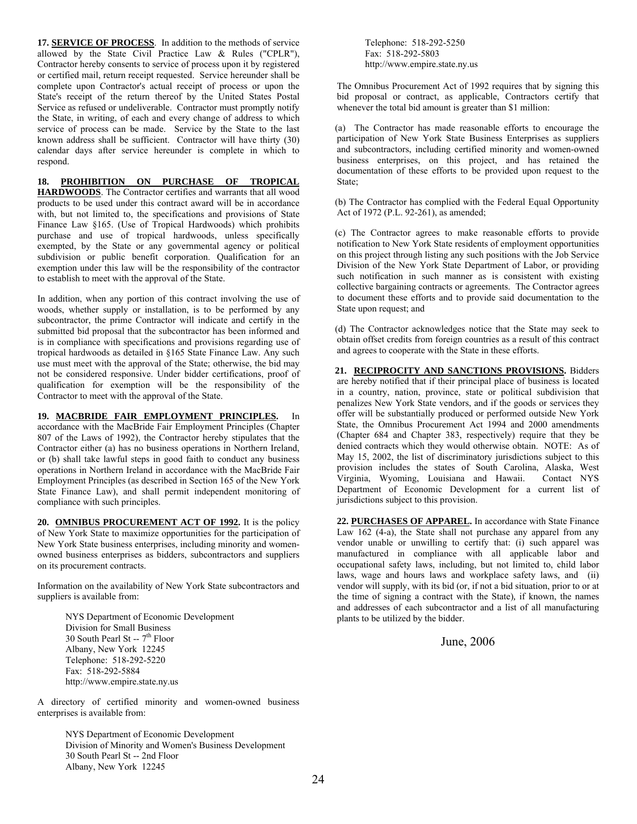**17. SERVICE OF PROCESS**. In addition to the methods of service allowed by the State Civil Practice Law & Rules ("CPLR"), Contractor hereby consents to service of process upon it by registered or certified mail, return receipt requested. Service hereunder shall be complete upon Contractor's actual receipt of process or upon the State's receipt of the return thereof by the United States Postal Service as refused or undeliverable. Contractor must promptly notify the State, in writing, of each and every change of address to which service of process can be made. Service by the State to the last known address shall be sufficient. Contractor will have thirty (30) calendar days after service hereunder is complete in which to respond.

#### **18. PROHIBITION ON PURCHASE OF TROPICAL**

**HARDWOODS**. The Contractor certifies and warrants that all wood products to be used under this contract award will be in accordance with, but not limited to, the specifications and provisions of State Finance Law §165. (Use of Tropical Hardwoods) which prohibits purchase and use of tropical hardwoods, unless specifically exempted, by the State or any governmental agency or political subdivision or public benefit corporation. Qualification for an exemption under this law will be the responsibility of the contractor to establish to meet with the approval of the State.

In addition, when any portion of this contract involving the use of woods, whether supply or installation, is to be performed by any subcontractor, the prime Contractor will indicate and certify in the submitted bid proposal that the subcontractor has been informed and is in compliance with specifications and provisions regarding use of tropical hardwoods as detailed in §165 State Finance Law. Any such use must meet with the approval of the State; otherwise, the bid may not be considered responsive. Under bidder certifications, proof of qualification for exemption will be the responsibility of the Contractor to meet with the approval of the State.

**19. MACBRIDE FAIR EMPLOYMENT PRINCIPLES.** In accordance with the MacBride Fair Employment Principles (Chapter 807 of the Laws of 1992), the Contractor hereby stipulates that the Contractor either (a) has no business operations in Northern Ireland, or (b) shall take lawful steps in good faith to conduct any business operations in Northern Ireland in accordance with the MacBride Fair Employment Principles (as described in Section 165 of the New York State Finance Law), and shall permit independent monitoring of compliance with such principles.

**20. OMNIBUS PROCUREMENT ACT OF 1992.** It is the policy of New York State to maximize opportunities for the participation of New York State business enterprises, including minority and womenowned business enterprises as bidders, subcontractors and suppliers on its procurement contracts.

Information on the availability of New York State subcontractors and suppliers is available from:

> NYS Department of Economic Development Division for Small Business 30 South Pearl St --  $7<sup>th</sup>$  Floor Albany, New York 12245 Telephone: 518-292-5220 Fax: 518-292-5884 http://www.empire.state.ny.us

A directory of certified minority and women-owned business enterprises is available from:

> NYS Department of Economic Development Division of Minority and Women's Business Development 30 South Pearl St -- 2nd Floor Albany, New York 12245

Telephone: 518-292-5250 Fax: 518-292-5803 http://www.empire.state.ny.us

The Omnibus Procurement Act of 1992 requires that by signing this bid proposal or contract, as applicable, Contractors certify that whenever the total bid amount is greater than \$1 million:

(a) The Contractor has made reasonable efforts to encourage the participation of New York State Business Enterprises as suppliers and subcontractors, including certified minority and women-owned business enterprises, on this project, and has retained the documentation of these efforts to be provided upon request to the State;

(b) The Contractor has complied with the Federal Equal Opportunity Act of 1972 (P.L. 92-261), as amended;

(c) The Contractor agrees to make reasonable efforts to provide notification to New York State residents of employment opportunities on this project through listing any such positions with the Job Service Division of the New York State Department of Labor, or providing such notification in such manner as is consistent with existing collective bargaining contracts or agreements. The Contractor agrees to document these efforts and to provide said documentation to the State upon request; and

(d) The Contractor acknowledges notice that the State may seek to obtain offset credits from foreign countries as a result of this contract and agrees to cooperate with the State in these efforts.

**21. RECIPROCITY AND SANCTIONS PROVISIONS.** Bidders are hereby notified that if their principal place of business is located in a country, nation, province, state or political subdivision that penalizes New York State vendors, and if the goods or services they offer will be substantially produced or performed outside New York State, the Omnibus Procurement Act 1994 and 2000 amendments (Chapter 684 and Chapter 383, respectively) require that they be denied contracts which they would otherwise obtain. NOTE: As of May 15, 2002, the list of discriminatory jurisdictions subject to this provision includes the states of South Carolina, Alaska, West Virginia, Wyoming, Louisiana and Hawaii. Contact NYS Department of Economic Development for a current list of jurisdictions subject to this provision.

**22. PURCHASES OF APPAREL.** In accordance with State Finance Law  $162$  (4-a), the State shall not purchase any apparel from any vendor unable or unwilling to certify that: (i) such apparel was manufactured in compliance with all applicable labor and occupational safety laws, including, but not limited to, child labor laws, wage and hours laws and workplace safety laws, and (ii) vendor will supply, with its bid (or, if not a bid situation, prior to or at the time of signing a contract with the State)*,* if known, the names and addresses of each subcontractor and a list of all manufacturing plants to be utilized by the bidder.

June, 2006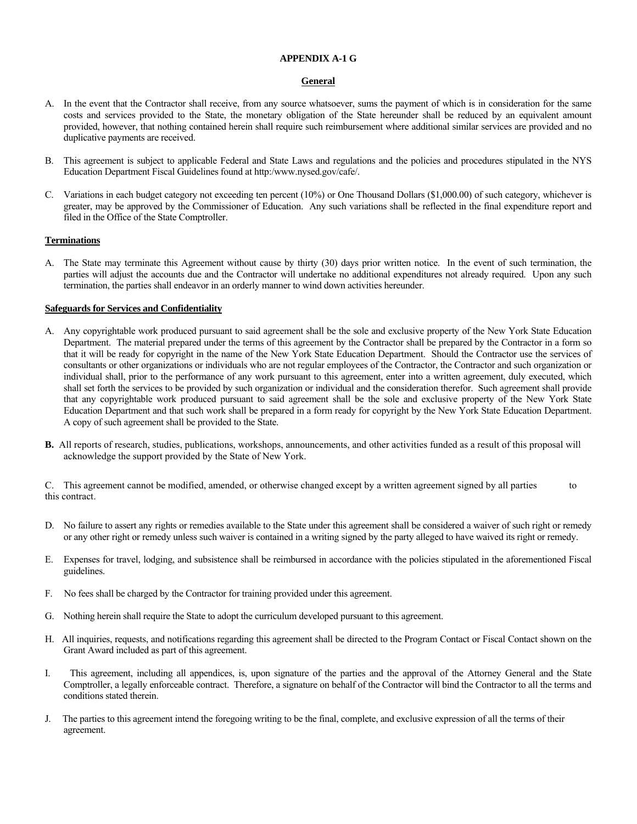#### **APPENDIX A-1 G**

#### **General**

- A. In the event that the Contractor shall receive, from any source whatsoever, sums the payment of which is in consideration for the same costs and services provided to the State, the monetary obligation of the State hereunder shall be reduced by an equivalent amount provided, however, that nothing contained herein shall require such reimbursement where additional similar services are provided and no duplicative payments are received.
- B. This agreement is subject to applicable Federal and State Laws and regulations and the policies and procedures stipulated in the NYS Education Department Fiscal Guidelines found at http:/www.nysed.gov/cafe/.
- C. Variations in each budget category not exceeding ten percent (10%) or One Thousand Dollars (\$1,000.00) of such category, whichever is greater, may be approved by the Commissioner of Education. Any such variations shall be reflected in the final expenditure report and filed in the Office of the State Comptroller.

#### **Terminations**

A. The State may terminate this Agreement without cause by thirty (30) days prior written notice. In the event of such termination, the parties will adjust the accounts due and the Contractor will undertake no additional expenditures not already required. Upon any such termination, the parties shall endeavor in an orderly manner to wind down activities hereunder.

#### **Safeguards for Services and Confidentiality**

- A. Any copyrightable work produced pursuant to said agreement shall be the sole and exclusive property of the New York State Education Department. The material prepared under the terms of this agreement by the Contractor shall be prepared by the Contractor in a form so that it will be ready for copyright in the name of the New York State Education Department. Should the Contractor use the services of consultants or other organizations or individuals who are not regular employees of the Contractor, the Contractor and such organization or individual shall, prior to the performance of any work pursuant to this agreement, enter into a written agreement, duly executed, which shall set forth the services to be provided by such organization or individual and the consideration therefor. Such agreement shall provide that any copyrightable work produced pursuant to said agreement shall be the sole and exclusive property of the New York State Education Department and that such work shall be prepared in a form ready for copyright by the New York State Education Department. A copy of such agreement shall be provided to the State.
- **B.** All reports of research, studies, publications, workshops, announcements, and other activities funded as a result of this proposal will acknowledge the support provided by the State of New York.

C. This agreement cannot be modified, amended, or otherwise changed except by a written agreement signed by all parties to this contract.

- D. No failure to assert any rights or remedies available to the State under this agreement shall be considered a waiver of such right or remedy or any other right or remedy unless such waiver is contained in a writing signed by the party alleged to have waived its right or remedy.
- E. Expenses for travel, lodging, and subsistence shall be reimbursed in accordance with the policies stipulated in the aforementioned Fiscal guidelines.
- F. No fees shall be charged by the Contractor for training provided under this agreement.
- G. Nothing herein shall require the State to adopt the curriculum developed pursuant to this agreement.
- H. All inquiries, requests, and notifications regarding this agreement shall be directed to the Program Contact or Fiscal Contact shown on the Grant Award included as part of this agreement.
- I. This agreement, including all appendices, is, upon signature of the parties and the approval of the Attorney General and the State Comptroller, a legally enforceable contract. Therefore, a signature on behalf of the Contractor will bind the Contractor to all the terms and conditions stated therein.
- J. The parties to this agreement intend the foregoing writing to be the final, complete, and exclusive expression of all the terms of their agreement.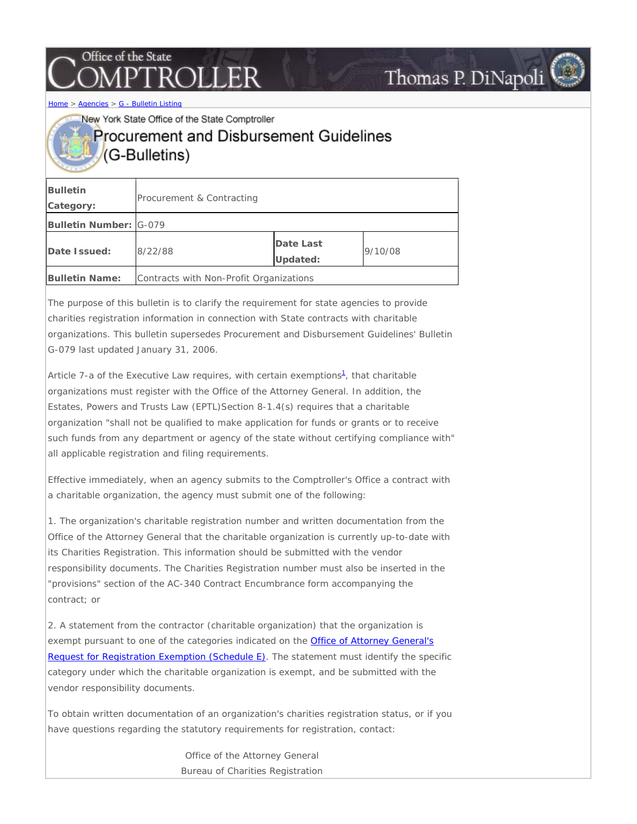# Office of the State DLLER

[Home](http://www.osc.state.ny.us/) > [Agencies](http://www.osc.state.ny.us/agencies/index.htm) > [G - Bulletin Listing](http://www.osc.state.ny.us/agencies/gbull/index.htm)

New York State Office of the State Comptroller



Procurement and Disbursement Guidelines (G-Bulletins)

| <b>Bulletin</b><br>Category:                                     | Procurement & Contracting |                       |         |
|------------------------------------------------------------------|---------------------------|-----------------------|---------|
| <b>Bulletin Number: G-079</b>                                    |                           |                       |         |
| Date Issued:                                                     | 8/22/88                   | Date Last<br>Updated: | 9/10/08 |
| <b>Bulletin Name:</b><br>Contracts with Non-Profit Organizations |                           |                       |         |

The purpose of this bulletin is to clarify the requirement for state agencies to provide charities registration information in connection with State contracts with charitable organizations. This bulletin supersedes Procurement and Disbursement Guidelines' Bulletin G-079 last updated January 31, 2006.

Article 7-a of the Executive Law requires, with certain exemptions<sup>[1](http://www.osc.state.ny.us/agencies/gbull/g_79.htm#note1#note1)</sup>, that charitable organizations must register with the Office of the Attorney General. In addition, the Estates, Powers and Trusts Law (EPTL)Section 8-1.4(s) requires that a charitable organization "shall not be qualified to make application for funds or grants or to receive such funds from any department or agency of the state without certifying compliance with" all applicable registration and filing requirements.

Effective immediately, when an agency submits to the Comptroller's Office a contract with a charitable organization, the agency must submit one of the following:

1. The organization's charitable registration number and written documentation from the Office of the Attorney General that the charitable organization is currently up-to-date with its Charities Registration. This information should be submitted with the vendor responsibility documents. The Charities Registration number must also be inserted in the "provisions" section of the AC-340 Contract Encumbrance form accompanying the contract; or

2. A statement from the contractor (charitable organization) that the organization is exempt pursuant to one of the categories indicated on the **Office of Attorney General's** [Request for Registration Exemption \(Schedule E\).](http://www.oag.state.ny.us/bureaus/charities/pdfs/char410SchE.pdf) The statement must identify the specific category under which the charitable organization is exempt, and be submitted with the vendor responsibility documents.

To obtain written documentation of an organization's charities registration status, or if you have questions regarding the statutory requirements for registration, contact:

> Office of the Attorney General Bureau of Charities Registration